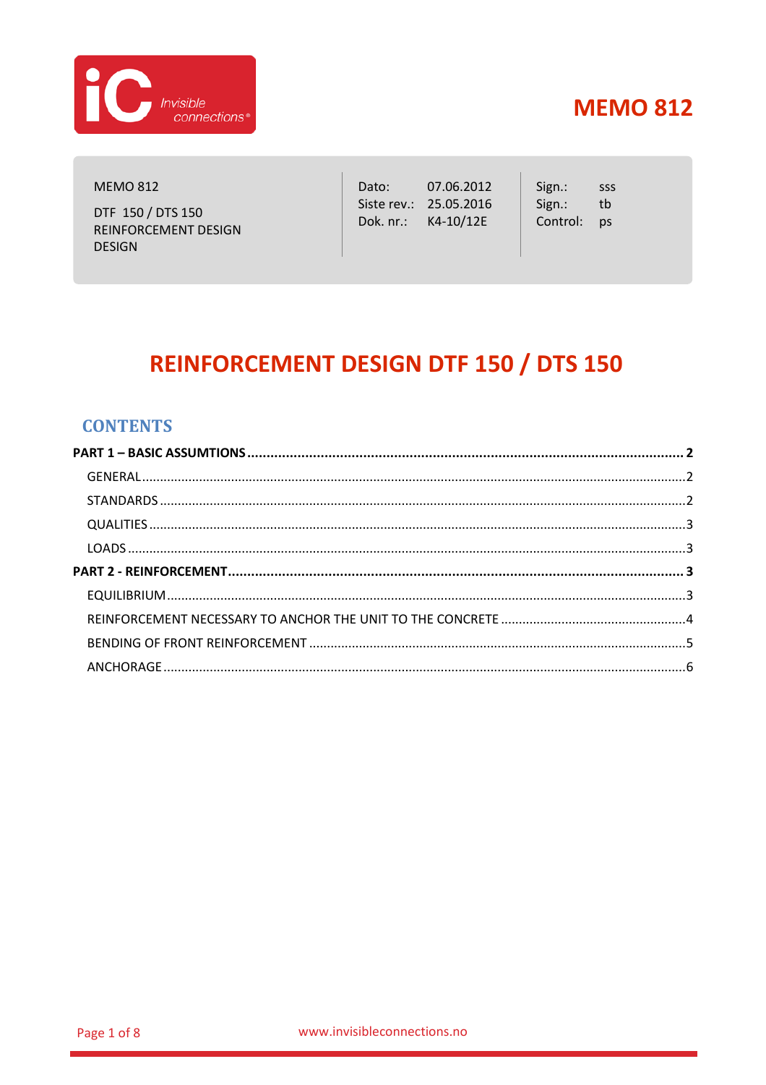

**MEMO 812** 

DTF 150 / DTS 150 REINFORCEMENT DESIGN **DESIGN** 

Dato: 07.06.2012 Siste rev.: 25.05.2016 Dok. nr.: K4-10/12E

Sign.: SSS Sign.:  $^{\rm th}$ Control: ps

# **REINFORCEMENT DESIGN DTF 150 / DTS 150**

### **CONTENTS**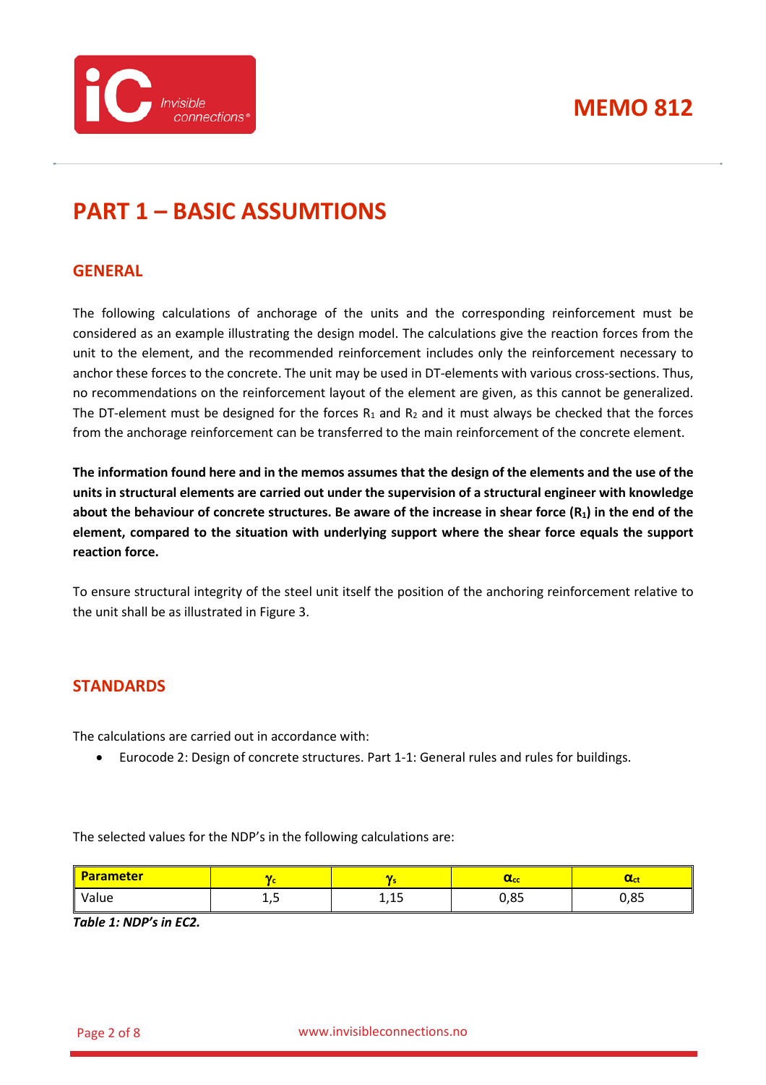



# <span id="page-1-0"></span>**PART 1 – BASIC ASSUMTIONS**

### <span id="page-1-1"></span>**GENERAL**

The following calculations of anchorage of the units and the corresponding reinforcement must be considered as an example illustrating the design model. The calculations give the reaction forces from the unit to the element, and the recommended reinforcement includes only the reinforcement necessary to anchor these forces to the concrete. The unit may be used in DT-elements with various cross-sections. Thus, no recommendations on the reinforcement layout of the element are given, as this cannot be generalized. The DT-element must be designed for the forces  $R_1$  and  $R_2$  and it must always be checked that the forces from the anchorage reinforcement can be transferred to the main reinforcement of the concrete element.

**The information found here and in the memos assumes that the design of the elements and the use of the units in structural elements are carried out under the supervision of a structural engineer with knowledge about the behaviour of concrete structures. Be aware of the increase in shear force (R1) in the end of the element, compared to the situation with underlying support where the shear force equals the support reaction force.**

To ensure structural integrity of the steel unit itself the position of the anchoring reinforcement relative to the unit shall be as illustrated in [Figure 3.](#page-6-0)

#### <span id="page-1-2"></span>**STANDARDS**

The calculations are carried out in accordance with:

• Eurocode 2: Design of concrete structures. Part 1-1: General rules and rules for buildings.

The selected values for the NDP's in the following calculations are:

| <b>Parameter</b> |    |              | wcc        | <b>MCL</b>       |
|------------------|----|--------------|------------|------------------|
| Value            | ∸, | -<br>A<br>-- | OC<br>U,OJ | $\Omega$<br>u,oj |

*Table 1: NDP's in EC2.*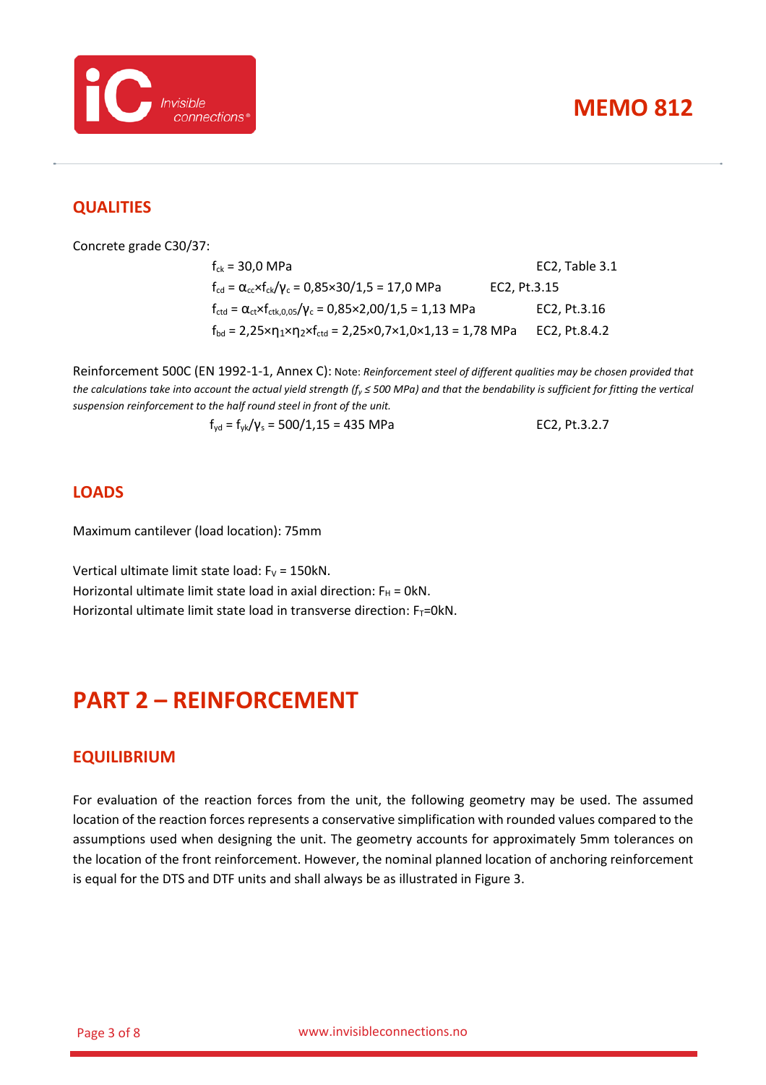



### <span id="page-2-0"></span>**QUALITIES**

Concrete grade C30/37:

| $f_{ck}$ = 30,0 MPa                                                                                                                  | EC2, Table 3.1 |
|--------------------------------------------------------------------------------------------------------------------------------------|----------------|
| $f_{\rm cd} = \alpha_{\rm cc} \times f_{\rm ck}/\gamma_{\rm c} = 0.85 \times 30/1.5 = 17.0 \text{ MPa}$                              | EC2, Pt.3.15   |
| $f_{\text{ctd}} = \alpha_{\text{ct}} \times f_{\text{ctk},0.05} / \gamma_c = 0.85 \times 2.00 / 1.5 = 1.13 \text{ MPa}$              | EC2. Pt.3.16   |
| $f_{\text{bd}} = 2.25 \times \eta_1 \times \eta_2 \times f_{\text{ctd}} = 2.25 \times 0.7 \times 1.0 \times 1.13 = 1.78 \text{ MPa}$ | EC2. Pt.8.4.2  |

Reinforcement 500C (EN 1992-1-1, Annex C): Note: *Reinforcement steel of different qualities may be chosen provided that the calculations take into account the actual yield strength (fy ≤ 500 MPa) and that the bendability is sufficient for fitting the vertical suspension reinforcement to the half round steel in front of the unit.*

$$
f_{yd} = f_{yk}/\gamma_s = 500/1,15 = 435 \text{ MPa}
$$
 EC2, Pt.3.2.7

#### <span id="page-2-1"></span>**LOADS**

Maximum cantilever (load location): 75mm

<span id="page-2-2"></span>Vertical ultimate limit state load:  $F_V = 150kN$ . Horizontal ultimate limit state load in axial direction:  $F_H = 0kN$ . Horizontal ultimate limit state load in transverse direction:  $F_T=0kN$ .

### **PART 2 – REINFORCEMENT**

#### <span id="page-2-3"></span>**EQUILIBRIUM**

For evaluation of the reaction forces from the unit, the following geometry may be used. The assumed location of the reaction forces represents a conservative simplification with rounded values compared to the assumptions used when designing the unit. The geometry accounts for approximately 5mm tolerances on the location of the front reinforcement. However, the nominal planned location of anchoring reinforcement is equal for the DTS and DTF units and shall always be as illustrated in [Figure 3.](#page-6-0)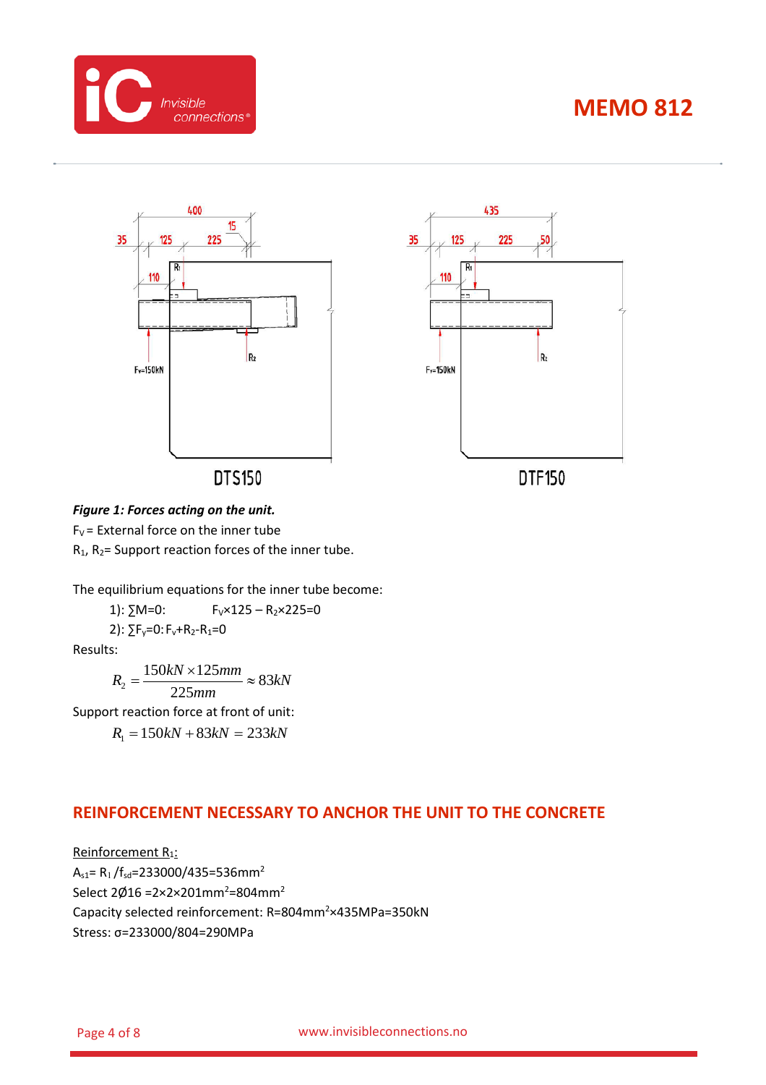





#### *Figure 1: Forces acting on the unit.*

 $F_V$  = External force on the inner tube  $R_1$ ,  $R_2$ = Support reaction forces of the inner tube.

The equilibrium equations for the inner tube become:

1):  $\Sigma M=0$ :  $F_V \times 125 - R_2 \times 225=0$ 

2):  $\Sigma F_v = 0$ :  $F_v + R_2 - R_1 = 0$ 

Results:

*kN mm*  $R_2 = \frac{150kN \times 125mm}{225} \approx 83$ 225  $\frac{150kN \times 125mm}{225mm} \approx$ 

Support reaction force at front of unit:

*R*<sup>1</sup> = 150*kN* + 83*kN* = 233*kN*

### <span id="page-3-0"></span>**REINFORCEMENT NECESSARY TO ANCHOR THE UNIT TO THE CONCRETE**

Reinforcement R<sub>1</sub>:  $A_{s1} = R_1 / f_{sd} = 233000 / 435 = 536$ mm<sup>2</sup> Select 2Ø16 =2×2×201mm<sup>2</sup>=804mm<sup>2</sup> Capacity selected reinforcement: R=804mm<sup>2</sup>×435MPa=350kN Stress: σ=233000/804=290MPa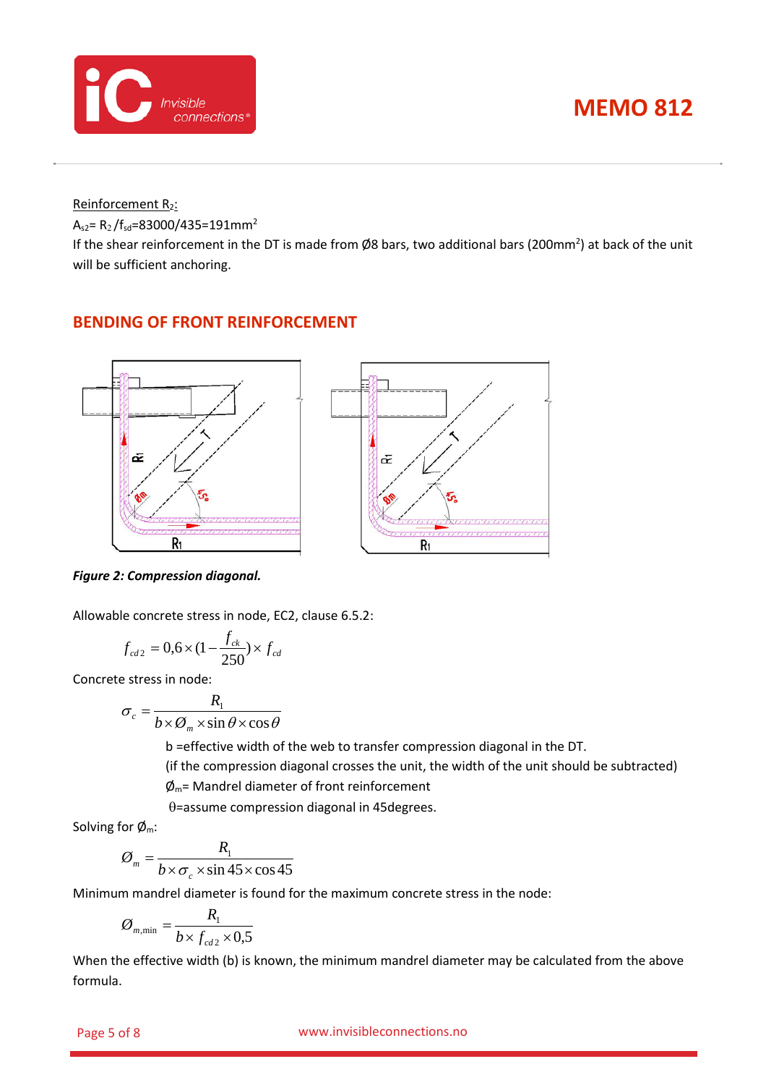

Reinforcement R2:

 $A_{s2} = R_2 / f_{sd} = 83000 / 435 = 191$ mm<sup>2</sup>

If the shear reinforcement in the DT is made from Ø8 bars, two additional bars (200mm<sup>2</sup>) at back of the unit will be sufficient anchoring.

### <span id="page-4-0"></span>**BENDING OF FRONT REINFORCEMENT**



*Figure 2: Compression diagonal.*

Allowable concrete stress in node, EC2, clause 6.5.2:

$$
f_{cd2} = 0.6 \times (1 - \frac{f_{ck}}{250}) \times f_{cd}
$$

Concrete stress in node:

$$
\sigma_c = \frac{R_1}{b \times \emptyset_m \times \sin \theta \times \cos \theta}
$$

b =effective width of the web to transfer compression diagonal in the DT.

(if the compression diagonal crosses the unit, the width of the unit should be subtracted)

 $\phi_{\rm m}$ = Mandrel diameter of front reinforcement

θ=assume compression diagonal in 45degrees.

Solving for  $\phi_m$ :

$$
\varnothing_m = \frac{R_1}{b \times \sigma_c \times \sin 45 \times \cos 45}
$$

Minimum mandrel diameter is found for the maximum concrete stress in the node:

$$
\varnothing_{m,\min} = \frac{R_1}{b \times f_{cd2} \times 0.5}
$$

When the effective width (b) is known, the minimum mandrel diameter may be calculated from the above formula.

#### Page 5 of 8 www.invisibleconnections.no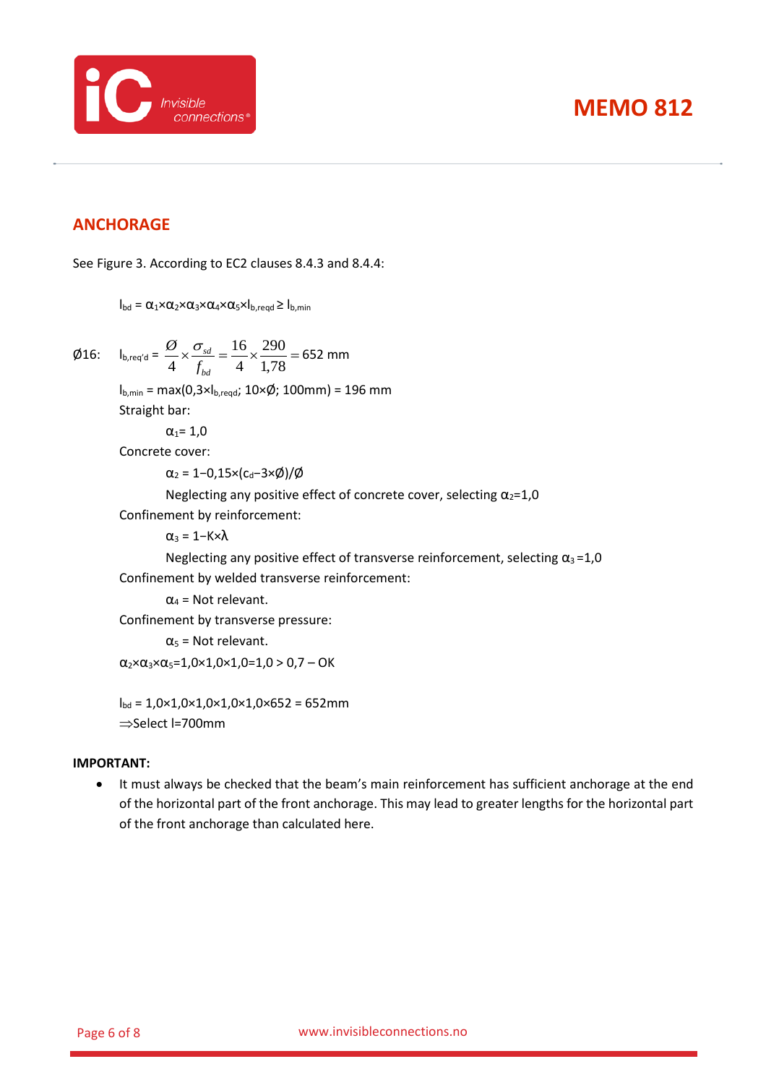

### <span id="page-5-0"></span>**ANCHORAGE**

See [Figure 3.](#page-6-0) According to EC2 clauses 8.4.3 and 8.4.4:

 $I_{\text{bd}} = \alpha_1 \times \alpha_2 \times \alpha_3 \times \alpha_4 \times \alpha_5 \times I_{\text{b,read}} \geq I_{\text{b,min}}$ 

 $\emptyset$ 16:  $I_b$ 

$$
_{\text{p,req'd}} = \frac{\cancel{0}}{4} \times \frac{\sigma_{sd}}{f_{bd}} = \frac{16}{4} \times \frac{290}{1,78} = 652 \text{ mm}
$$

 $I_{b,min} = max(0,3 \times I_{b,reqd}; 10 \times \emptyset; 100mm) = 196 mm$ Straight bar:

$$
\alpha_1 = 1,0
$$

Concrete cover:

 $\alpha_2$  = 1–0,15×(c<sub>d</sub>–3ר)/Ø

Neglecting any positive effect of concrete cover, selecting  $\alpha_2=1,0$ 

Confinement by reinforcement:

 $\alpha_3 = 1 - K \times \lambda$ 

Neglecting any positive effect of transverse reinforcement, selecting  $\alpha_3 = 1.0$ Confinement by welded transverse reinforcement:

 $\alpha_4$  = Not relevant.

Confinement by transverse pressure:

 $\alpha_5$  = Not relevant.

 $\alpha_2 \times \alpha_3 \times \alpha_5 = 1,0 \times 1,0 \times 1,0 = 1,0 > 0,7 - OK$ 

 $I_{\text{bd}} = 1,0 \times 1,0 \times 1,0 \times 1,0 \times 1,0 \times 652 = 652$ mm ⇒Select l=700mm

#### **IMPORTANT:**

• It must always be checked that the beam's main reinforcement has sufficient anchorage at the end of the horizontal part of the front anchorage. This may lead to greater lengths for the horizontal part of the front anchorage than calculated here.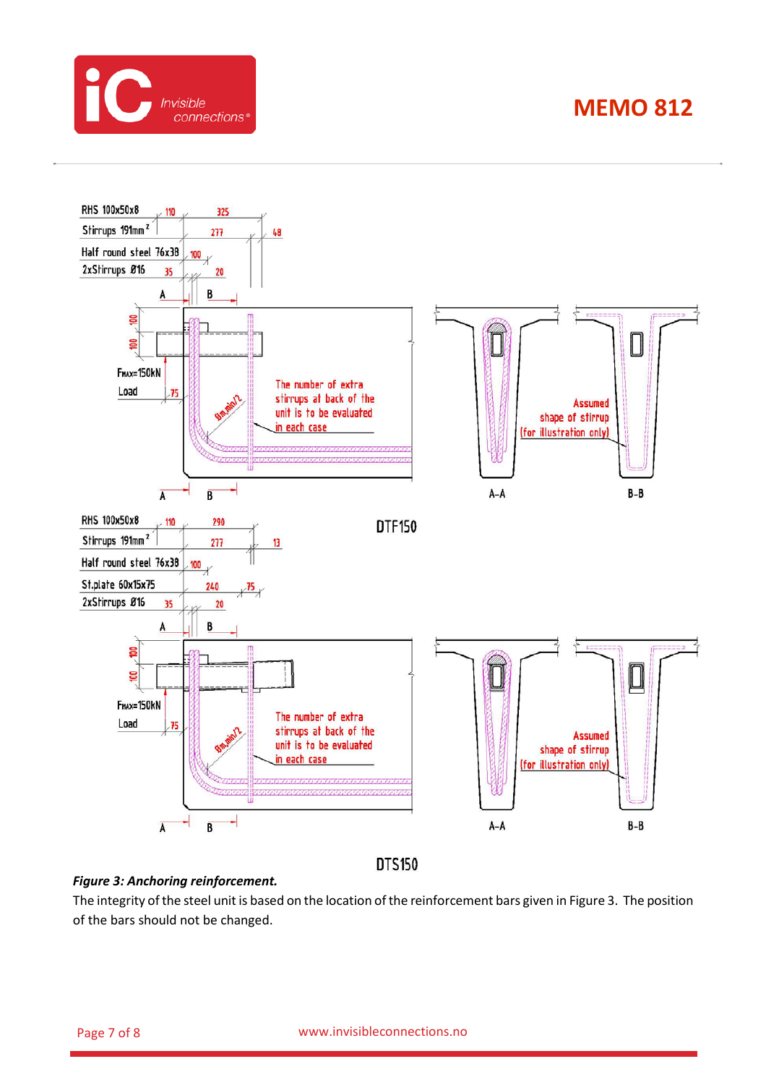



**DTS150** 

#### <span id="page-6-0"></span>*Figure 3: Anchoring reinforcement.*

The integrity of the steel unit is based on the location of the reinforcement bars given i[n Figure 3.](#page-6-0) The position of the bars should not be changed.